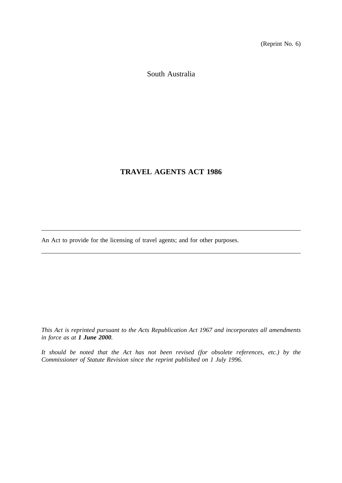(Reprint No. 6)

South Australia

# **TRAVEL AGENTS ACT 1986**

An Act to provide for the licensing of travel agents; and for other purposes.

*This Act is reprinted pursuant to the Acts Republication Act 1967 and incorporates all amendments in force as at 1 June 2000.*

*It should be noted that the Act has not been revised (for obsolete references, etc.) by the Commissioner of Statute Revision since the reprint published on 1 July 1996.*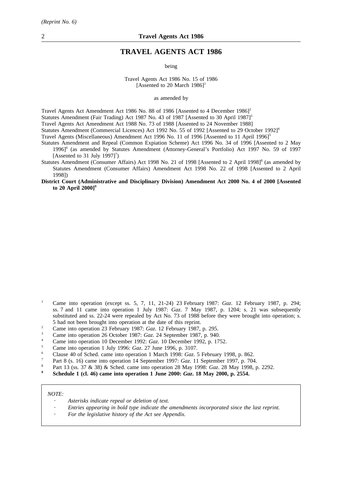## **TRAVEL AGENTS ACT 1986**

being

Travel Agents Act 1986 No. 15 of 1986 [Assented to 20 March  $1986$ ]<sup>1</sup>

as amended by

Travel Agents Act Amendment Act 1986 No. 88 of 1986 [Assented to 4 December 1986]<sup>2</sup> Statutes Amendment (Fair Trading) Act 1987 No. 43 of 1987 [Assented to 30 April 1987]<sup>3</sup> Travel Agents Act Amendment Act 1988 No. 73 of 1988 [Assented to 24 November 1988] Statutes Amendment (Commercial Licences) Act 1992 No. 55 of 1992 [Assented to 29 October 1992]<sup>4</sup>

Travel Agents (Miscellaneous) Amendment Act 1996 No. 11 of 1996 [Assented to 11 April 1996]<sup>5</sup>

- Statutes Amendment and Repeal (Common Expiation Scheme) Act 1996 No. 34 of 1996 [Assented to 2 May 1996]6 (as amended by Statutes Amendment (Attorney-General's Portfolio) Act 1997 No. 59 of 1997 [Assented to 31 July 1997] $^7$ )
- Statutes Amendment (Consumer Affairs) Act 1998 No. 21 of 1998 [Assented to 2 April 1998]<sup>8</sup> (as amended by Statutes Amendment (Consumer Affairs) Amendment Act 1998 No. 22 of 1998 [Assented to 2 April 1998])
- **District Court (Administrative and Disciplinary Division) Amendment Act 2000 No. 4 of 2000 [Assented to 20 April 2000]9**

- <sup>1</sup> Came into operation (except ss. 5, 7, 11, 21-24) 23 February 1987: *Gaz*. 12 February 1987, p. 294; ss. 7 and 11 came into operation 1 July 1987: *Gaz*. 7 May 1987, p. 1204; s. 21 was subsequently substituted and ss. 22-24 were repealed by Act No. 73 of 1988 before they were brought into operation; s. 5 had not been brought into operation at the date of this reprint.
- <sup>2</sup> Came into operation 23 February 1987: *Gaz*. 12 February 1987, p. 295.
- <sup>3</sup> Came into operation 26 October 1987: *Gaz*. 24 September 1987, p. 940.
- <sup>4</sup> Came into operation 10 December 1992: *Gaz*. 10 December 1992, p. 1752.
- <sup>5</sup> Came into operation 1 July 1996: *Gaz*. 27 June 1996, p. 3107.
- <sup>6</sup> Clause 40 of Sched. came into operation 1 March 1998: *Gaz*. 5 February 1998, p. 862.
- <sup>7</sup> Part 8 (s. 16) came into operation 14 September 1997: *Gaz*. 11 September 1997, p. 704.
- <sup>8</sup> Part 13 (ss. 37 & 38) & Sched. came into operation 28 May 1998: *Gaz*. 28 May 1998, p. 2292.
- **<sup>9</sup> Schedule 1 (cl. 46) came into operation 1 June 2000:** *Gaz***. 18 May 2000, p. 2554.**

#### *NOTE:*

- *Asterisks indicate repeal or deletion of text.*
- *Entries appearing in bold type indicate the amendments incorporated since the last reprint.*
- *For the legislative history of the Act see Appendix.*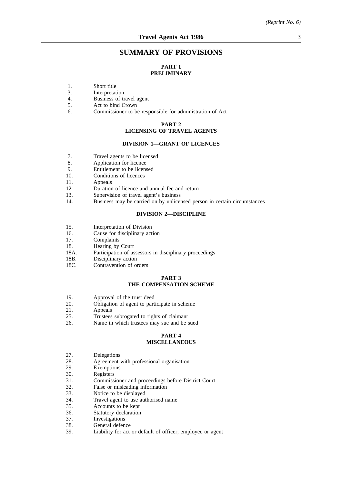## **SUMMARY OF PROVISIONS**

## **PART 1 PRELIMINARY**

- 1. Short title<br>3. Interpretat
- 3. Interpretation<br>4 Business of tr
- 4. Business of travel agent<br>5. Act to bind Crown
- 5. Act to bind Crown<br>6. Commissioner to be
- 6. Commissioner to be responsible for administration of Act

## **PART 2 LICENSING OF TRAVEL AGENTS**

#### **DIVISION 1—GRANT OF LICENCES**

- 7. Travel agents to be licensed<br>8. Application for licence
- Application for licence
- 9. Entitlement to be licensed
- 10. Conditions of licences
- 11. Appeals
- 12. Duration of licence and annual fee and return
- 13. Supervision of travel agent's business
- 14. Business may be carried on by unlicensed person in certain circumstances

#### **DIVISION 2—DISCIPLINE**

- 15. Interpretation of Division
- 16. Cause for disciplinary action
- 17. Complaints
- 18. Hearing by Court
- 18A. Participation of assessors in disciplinary proceedings
- 18B. Disciplinary action
- 18C. Contravention of orders

#### **PART 3 THE COMPENSATION SCHEME**

- 19. Approval of the trust deed
- 20. Obligation of agent to participate in scheme<br>21. Appeals
- 21. Appeals<br>25. Trustees
- 25. Trustees subrogated to rights of claimant<br>26. Name in which trustees may sue and be s
- Name in which trustees may sue and be sued

### **PART 4 MISCELLANEOUS**

- 27. Delegations<br>28. Agreement
- 28. Agreement with professional organisation<br>29. Exemptions
- 29. Exemptions<br>30. Registers
- 30. Registers<br>31. Commiss
- 31. Commissioner and proceedings before District Court<br>32. False or misleading information
- False or misleading information
- 33. Notice to be displayed
- 34. Travel agent to use authorised name
- 35. Accounts to be kept
- 36. Statutory declaration<br>37. Investigations
- 37. Investigations<br>38. General defen
- 38. General defence<br>39. Liability for act
- Liability for act or default of officer, employee or agent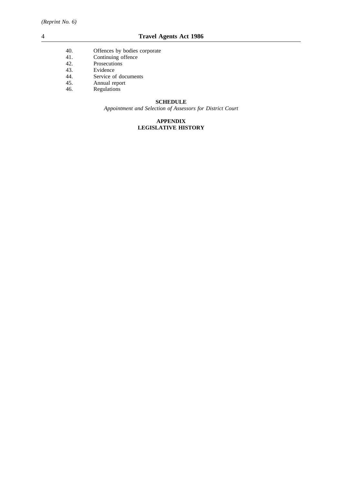- 40. Offences by bodies corporate
- 41. Continuing offence
- 42. Prosecutions<br>43. Evidence
- 43. Evidence<br>44. Service o
- 44. Service of documents<br>45. Annual report
- 45. Annual report<br>46. Regulations
- Regulations

## **SCHEDULE**

*Appointment and Selection of Assessors for District Court*

## **APPENDIX LEGISLATIVE HISTORY**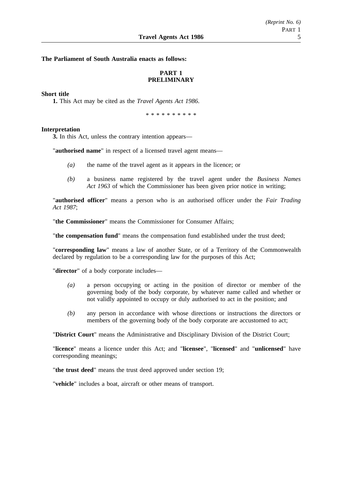## **The Parliament of South Australia enacts as follows:**

## **PART 1 PRELIMINARY**

### **Short title**

**1.** This Act may be cited as the *Travel Agents Act 1986*.

\*\*\*\*\*\*\*\*\*\*

#### **Interpretation**

**3.** In this Act, unless the contrary intention appears—

"**authorised name**" in respect of a licensed travel agent means—

- *(a)* the name of the travel agent as it appears in the licence; or
- *(b)* a business name registered by the travel agent under the *Business Names Act 1963* of which the Commissioner has been given prior notice in writing;

"**authorised officer**" means a person who is an authorised officer under the *Fair Trading Act 1987*;

"**the Commissioner**" means the Commissioner for Consumer Affairs;

"**the compensation fund**" means the compensation fund established under the trust deed;

"**corresponding law**" means a law of another State, or of a Territory of the Commonwealth declared by regulation to be a corresponding law for the purposes of this Act;

"**director**" of a body corporate includes—

- *(a)* a person occupying or acting in the position of director or member of the governing body of the body corporate, by whatever name called and whether or not validly appointed to occupy or duly authorised to act in the position; and
- *(b)* any person in accordance with whose directions or instructions the directors or members of the governing body of the body corporate are accustomed to act;

"**District Court**" means the Administrative and Disciplinary Division of the District Court;

"**licence**" means a licence under this Act; and "**licensee**", "**licensed**" and "**unlicensed**" have corresponding meanings;

"**the trust deed**" means the trust deed approved under section 19;

"**vehicle**" includes a boat, aircraft or other means of transport.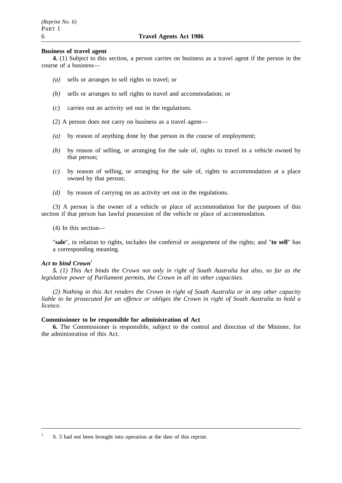#### **Business of travel agent**

**4.** (1) Subject to this section, a person carries on business as a travel agent if the person in the course of a business—

- *(a)* sells or arranges to sell rights to travel; or
- *(b)* sells or arranges to sell rights to travel and accommodation; or
- *(c)* carries out an activity set out in the regulations.
- (2) A person does not carry on business as a travel agent—
- *(a)* by reason of anything done by that person in the course of employment;
- *(b)* by reason of selling, or arranging for the sale of, rights to travel in a vehicle owned by that person;
- *(c)* by reason of selling, or arranging for the sale of, rights to accommodation at a place owned by that person;
- *(d)* by reason of carrying on an activity set out in the regulations.

(3) A person is the owner of a vehicle or place of accommodation for the purposes of this section if that person has lawful possession of the vehicle or place of accommodation.

(4) In this section—

"**sale**", in relation to rights, includes the conferral or assignment of the rights; and "**to sell**" has a corresponding meaning.

## Act to bind Crown<sup>1</sup>

*5. (1) This Act binds the Crown not only in right of South Australia but also, so far as the legislative power of Parliament permits, the Crown in all its other capacities.*

*(2) Nothing in this Act renders the Crown in right of South Australia or in any other capacity liable to be prosecuted for an offence or obliges the Crown in right of South Australia to hold a licence.*

#### **Commissioner to be responsible for administration of Act**

**6.** The Commissioner is responsible, subject to the control and direction of the Minister, for the administration of this Act.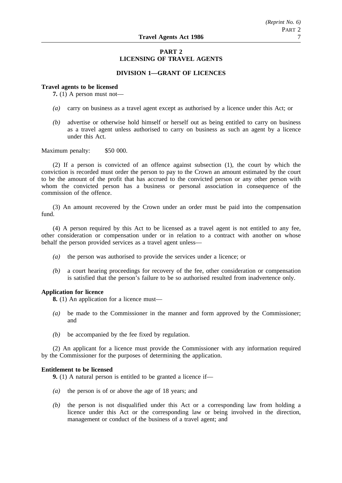## **PART 2 LICENSING OF TRAVEL AGENTS**

## **DIVISION 1—GRANT OF LICENCES**

#### **Travel agents to be licensed**

**7.** (1) A person must not—

- *(a)* carry on business as a travel agent except as authorised by a licence under this Act; or
- *(b)* advertise or otherwise hold himself or herself out as being entitled to carry on business as a travel agent unless authorised to carry on business as such an agent by a licence under this Act.

Maximum penalty: \$50 000.

(2) If a person is convicted of an offence against subsection (1), the court by which the conviction is recorded must order the person to pay to the Crown an amount estimated by the court to be the amount of the profit that has accrued to the convicted person or any other person with whom the convicted person has a business or personal association in consequence of the commission of the offence.

(3) An amount recovered by the Crown under an order must be paid into the compensation fund.

(4) A person required by this Act to be licensed as a travel agent is not entitled to any fee, other consideration or compensation under or in relation to a contract with another on whose behalf the person provided services as a travel agent unless—

- *(a)* the person was authorised to provide the services under a licence; or
- *(b)* a court hearing proceedings for recovery of the fee, other consideration or compensation is satisfied that the person's failure to be so authorised resulted from inadvertence only.

## **Application for licence**

**8.** (1) An application for a licence must—

- *(a)* be made to the Commissioner in the manner and form approved by the Commissioner; and
- *(b)* be accompanied by the fee fixed by regulation.

(2) An applicant for a licence must provide the Commissioner with any information required by the Commissioner for the purposes of determining the application.

#### **Entitlement to be licensed**

**9.** (1) A natural person is entitled to be granted a licence if—

- *(a)* the person is of or above the age of 18 years; and
- *(b)* the person is not disqualified under this Act or a corresponding law from holding a licence under this Act or the corresponding law or being involved in the direction, management or conduct of the business of a travel agent; and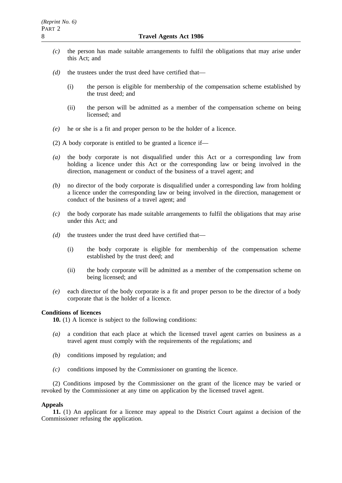- *(c)* the person has made suitable arrangements to fulfil the obligations that may arise under this Act; and
- *(d)* the trustees under the trust deed have certified that—
	- (i) the person is eligible for membership of the compensation scheme established by the trust deed; and
	- (ii) the person will be admitted as a member of the compensation scheme on being licensed; and
- *(e)* he or she is a fit and proper person to be the holder of a licence.
- (2) A body corporate is entitled to be granted a licence if—
- *(a)* the body corporate is not disqualified under this Act or a corresponding law from holding a licence under this Act or the corresponding law or being involved in the direction, management or conduct of the business of a travel agent; and
- *(b)* no director of the body corporate is disqualified under a corresponding law from holding a licence under the corresponding law or being involved in the direction, management or conduct of the business of a travel agent; and
- *(c)* the body corporate has made suitable arrangements to fulfil the obligations that may arise under this Act; and
- *(d)* the trustees under the trust deed have certified that—
	- (i) the body corporate is eligible for membership of the compensation scheme established by the trust deed; and
	- (ii) the body corporate will be admitted as a member of the compensation scheme on being licensed; and
- *(e)* each director of the body corporate is a fit and proper person to be the director of a body corporate that is the holder of a licence.

## **Conditions of licences**

**10.** (1) A licence is subject to the following conditions:

- *(a)* a condition that each place at which the licensed travel agent carries on business as a travel agent must comply with the requirements of the regulations; and
- *(b)* conditions imposed by regulation; and
- *(c)* conditions imposed by the Commissioner on granting the licence.

(2) Conditions imposed by the Commissioner on the grant of the licence may be varied or revoked by the Commissioner at any time on application by the licensed travel agent.

## **Appeals**

**11.** (1) An applicant for a licence may appeal to the District Court against a decision of the Commissioner refusing the application.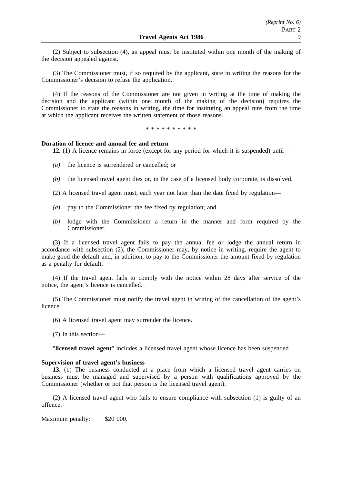(2) Subject to subsection (4), an appeal must be instituted within one month of the making of the decision appealed against.

(3) The Commissioner must, if so required by the applicant, state in writing the reasons for the Commissioner's decision to refuse the application.

(4) If the reasons of the Commissioner are not given in writing at the time of making the decision and the applicant (within one month of the making of the decision) requires the Commissioner to state the reasons in writing, the time for instituting an appeal runs from the time at which the applicant receives the written statement of those reasons.

\*\*\*\*\*\*\*\*\*\*

## **Duration of licence and annual fee and return**

**12.** (1) A licence remains in force (except for any period for which it is suspended) until—

- *(a)* the licence is surrendered or cancelled; or
- *(b)* the licensed travel agent dies or, in the case of a licensed body corporate, is dissolved.
- (2) A licensed travel agent must, each year not later than the date fixed by regulation—
- *(a)* pay to the Commissioner the fee fixed by regulation; and
- *(b)* lodge with the Commissioner a return in the manner and form required by the Commissioner.

(3) If a licensed travel agent fails to pay the annual fee or lodge the annual return in accordance with subsection (2), the Commissioner may, by notice in writing, require the agent to make good the default and, in addition, to pay to the Commissioner the amount fixed by regulation as a penalty for default.

(4) If the travel agent fails to comply with the notice within 28 days after service of the notice, the agent's licence is cancelled.

(5) The Commissioner must notify the travel agent in writing of the cancellation of the agent's licence.

(6) A licensed travel agent may surrender the licence.

(7) In this section—

"**licensed travel agent**" includes a licensed travel agent whose licence has been suspended.

#### **Supervision of travel agent's business**

**13.** (1) The business conducted at a place from which a licensed travel agent carries on business must be managed and supervised by a person with qualifications approved by the Commissioner (whether or not that person is the licensed travel agent).

(2) A licensed travel agent who fails to ensure compliance with subsection (1) is guilty of an offence.

Maximum penalty: \$20 000.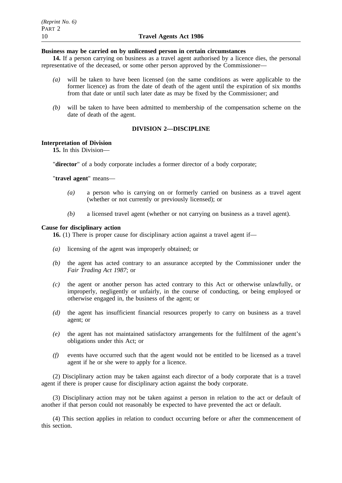### **Business may be carried on by unlicensed person in certain circumstances**

**14.** If a person carrying on business as a travel agent authorised by a licence dies, the personal representative of the deceased, or some other person approved by the Commissioner—

- *(a)* will be taken to have been licensed (on the same conditions as were applicable to the former licence) as from the date of death of the agent until the expiration of six months from that date or until such later date as may be fixed by the Commissioner; and
- *(b)* will be taken to have been admitted to membership of the compensation scheme on the date of death of the agent.

## **DIVISION 2—DISCIPLINE**

## **Interpretation of Division**

**15.** In this Division—

"**director**" of a body corporate includes a former director of a body corporate;

"**travel agent**" means—

- *(a)* a person who is carrying on or formerly carried on business as a travel agent (whether or not currently or previously licensed); or
- *(b)* a licensed travel agent (whether or not carrying on business as a travel agent).

#### **Cause for disciplinary action**

**16.** (1) There is proper cause for disciplinary action against a travel agent if—

- *(a)* licensing of the agent was improperly obtained; or
- *(b)* the agent has acted contrary to an assurance accepted by the Commissioner under the *Fair Trading Act 1987*; or
- *(c)* the agent or another person has acted contrary to this Act or otherwise unlawfully, or improperly, negligently or unfairly, in the course of conducting, or being employed or otherwise engaged in, the business of the agent; or
- *(d)* the agent has insufficient financial resources properly to carry on business as a travel agent; or
- *(e)* the agent has not maintained satisfactory arrangements for the fulfilment of the agent's obligations under this Act; or
- *(f)* events have occurred such that the agent would not be entitled to be licensed as a travel agent if he or she were to apply for a licence.

(2) Disciplinary action may be taken against each director of a body corporate that is a travel agent if there is proper cause for disciplinary action against the body corporate.

(3) Disciplinary action may not be taken against a person in relation to the act or default of another if that person could not reasonably be expected to have prevented the act or default.

(4) This section applies in relation to conduct occurring before or after the commencement of this section.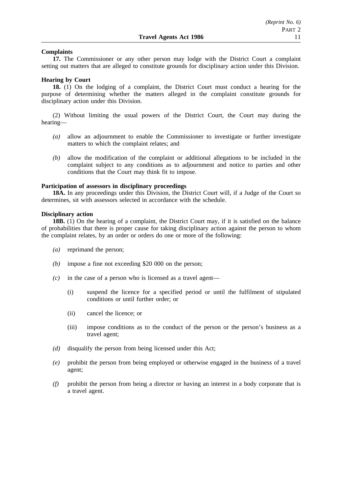### **Complaints**

**17.** The Commissioner or any other person may lodge with the District Court a complaint setting out matters that are alleged to constitute grounds for disciplinary action under this Division.

#### **Hearing by Court**

**18.** (1) On the lodging of a complaint, the District Court must conduct a hearing for the purpose of determining whether the matters alleged in the complaint constitute grounds for disciplinary action under this Division.

(2) Without limiting the usual powers of the District Court, the Court may during the hearing—

- *(a)* allow an adjournment to enable the Commissioner to investigate or further investigate matters to which the complaint relates; and
- *(b)* allow the modification of the complaint or additional allegations to be included in the complaint subject to any conditions as to adjournment and notice to parties and other conditions that the Court may think fit to impose.

#### **Participation of assessors in disciplinary proceedings**

**18A.** In any proceedings under this Division, the District Court will, if a Judge of the Court so determines, sit with assessors selected in accordance with the schedule.

#### **Disciplinary action**

**18B.** (1) On the hearing of a complaint, the District Court may, if it is satisfied on the balance of probabilities that there is proper cause for taking disciplinary action against the person to whom the complaint relates, by an order or orders do one or more of the following:

- *(a)* reprimand the person;
- *(b)* impose a fine not exceeding \$20 000 on the person;
- *(c)* in the case of a person who is licensed as a travel agent—
	- (i) suspend the licence for a specified period or until the fulfilment of stipulated conditions or until further order; or
	- (ii) cancel the licence; or
	- (iii) impose conditions as to the conduct of the person or the person's business as a travel agent;
- *(d)* disqualify the person from being licensed under this Act;
- *(e)* prohibit the person from being employed or otherwise engaged in the business of a travel agent;
- *(f)* prohibit the person from being a director or having an interest in a body corporate that is a travel agent.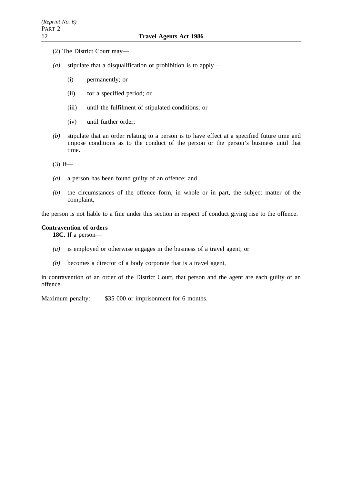- (2) The District Court may—
- *(a)* stipulate that a disqualification or prohibition is to apply—
	- (i) permanently; or
	- (ii) for a specified period; or
	- (iii) until the fulfilment of stipulated conditions; or
	- (iv) until further order;
- *(b)* stipulate that an order relating to a person is to have effect at a specified future time and impose conditions as to the conduct of the person or the person's business until that time.

 $(3)$  If—

- *(a)* a person has been found guilty of an offence; and
- *(b)* the circumstances of the offence form, in whole or in part, the subject matter of the complaint,

the person is not liable to a fine under this section in respect of conduct giving rise to the offence.

#### **Contravention of orders**

**18C.** If a person—

- *(a)* is employed or otherwise engages in the business of a travel agent; or
- *(b)* becomes a director of a body corporate that is a travel agent,

in contravention of an order of the District Court, that person and the agent are each guilty of an offence.

Maximum penalty: \$35 000 or imprisonment for 6 months.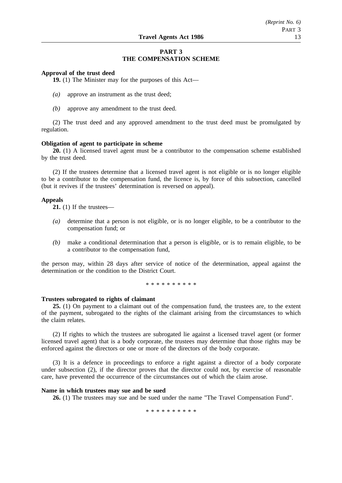## **PART 3 THE COMPENSATION SCHEME**

#### **Approval of the trust deed**

**19.** (1) The Minister may for the purposes of this Act—

- *(a)* approve an instrument as the trust deed;
- *(b)* approve any amendment to the trust deed.

(2) The trust deed and any approved amendment to the trust deed must be promulgated by regulation.

#### **Obligation of agent to participate in scheme**

**20.** (1) A licensed travel agent must be a contributor to the compensation scheme established by the trust deed.

(2) If the trustees determine that a licensed travel agent is not eligible or is no longer eligible to be a contributor to the compensation fund, the licence is, by force of this subsection, cancelled (but it revives if the trustees' determination is reversed on appeal).

#### **Appeals**

**21.** (1) If the trustees—

- *(a)* determine that a person is not eligible, or is no longer eligible, to be a contributor to the compensation fund; or
- *(b)* make a conditional determination that a person is eligible, or is to remain eligible, to be a contributor to the compensation fund,

the person may, within 28 days after service of notice of the determination, appeal against the determination or the condition to the District Court.

\*\*\*\*\*\*\*\*\*\*

## **Trustees subrogated to rights of claimant**

**25.** (1) On payment to a claimant out of the compensation fund, the trustees are, to the extent of the payment, subrogated to the rights of the claimant arising from the circumstances to which the claim relates.

(2) If rights to which the trustees are subrogated lie against a licensed travel agent (or former licensed travel agent) that is a body corporate, the trustees may determine that those rights may be enforced against the directors or one or more of the directors of the body corporate.

(3) It is a defence in proceedings to enforce a right against a director of a body corporate under subsection (2), if the director proves that the director could not, by exercise of reasonable care, have prevented the occurrence of the circumstances out of which the claim arose.

#### **Name in which trustees may sue and be sued**

**26.** (1) The trustees may sue and be sued under the name "The Travel Compensation Fund".

\*\*\*\*\*\*\*\*\*\*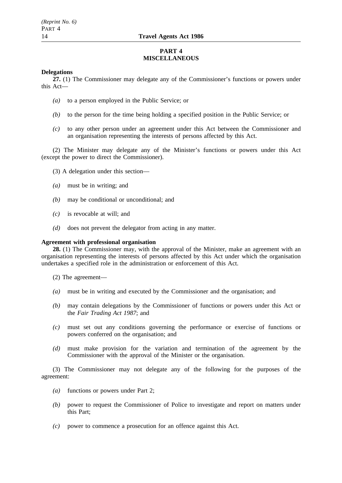## **PART 4 MISCELLANEOUS**

## **Delegations**

**27.** (1) The Commissioner may delegate any of the Commissioner's functions or powers under this Act—

- *(a)* to a person employed in the Public Service; or
- *(b)* to the person for the time being holding a specified position in the Public Service; or
- *(c)* to any other person under an agreement under this Act between the Commissioner and an organisation representing the interests of persons affected by this Act.

(2) The Minister may delegate any of the Minister's functions or powers under this Act (except the power to direct the Commissioner).

- (3) A delegation under this section—
- *(a)* must be in writing; and
- *(b)* may be conditional or unconditional; and
- *(c)* is revocable at will; and
- *(d)* does not prevent the delegator from acting in any matter.

## **Agreement with professional organisation**

**28.** (1) The Commissioner may, with the approval of the Minister, make an agreement with an organisation representing the interests of persons affected by this Act under which the organisation undertakes a specified role in the administration or enforcement of this Act.

- (2) The agreement—
- *(a)* must be in writing and executed by the Commissioner and the organisation; and
- *(b)* may contain delegations by the Commissioner of functions or powers under this Act or the *Fair Trading Act 1987*; and
- *(c)* must set out any conditions governing the performance or exercise of functions or powers conferred on the organisation; and
- *(d)* must make provision for the variation and termination of the agreement by the Commissioner with the approval of the Minister or the organisation.

(3) The Commissioner may not delegate any of the following for the purposes of the agreement:

- *(a)* functions or powers under Part 2;
- *(b)* power to request the Commissioner of Police to investigate and report on matters under this Part;
- *(c)* power to commence a prosecution for an offence against this Act.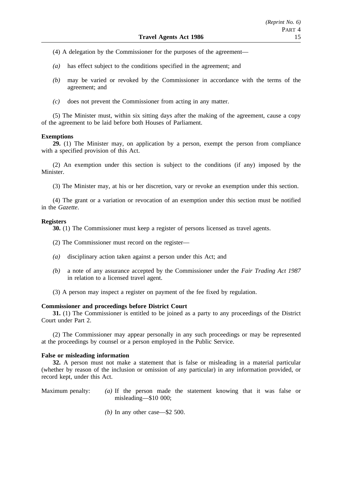- (4) A delegation by the Commissioner for the purposes of the agreement—
- *(a)* has effect subject to the conditions specified in the agreement; and
- *(b)* may be varied or revoked by the Commissioner in accordance with the terms of the agreement; and
- *(c)* does not prevent the Commissioner from acting in any matter.

(5) The Minister must, within six sitting days after the making of the agreement, cause a copy of the agreement to be laid before both Houses of Parliament.

#### **Exemptions**

**29.** (1) The Minister may, on application by a person, exempt the person from compliance with a specified provision of this Act.

(2) An exemption under this section is subject to the conditions (if any) imposed by the Minister.

(3) The Minister may, at his or her discretion, vary or revoke an exemption under this section.

(4) The grant or a variation or revocation of an exemption under this section must be notified in the *Gazette*.

#### **Registers**

**30.** (1) The Commissioner must keep a register of persons licensed as travel agents.

- (2) The Commissioner must record on the register—
- *(a)* disciplinary action taken against a person under this Act; and
- *(b)* a note of any assurance accepted by the Commissioner under the *Fair Trading Act 1987* in relation to a licensed travel agent.
- (3) A person may inspect a register on payment of the fee fixed by regulation.

## **Commissioner and proceedings before District Court**

**31.** (1) The Commissioner is entitled to be joined as a party to any proceedings of the District Court under Part 2.

(2) The Commissioner may appear personally in any such proceedings or may be represented at the proceedings by counsel or a person employed in the Public Service.

### **False or misleading information**

**32.** A person must not make a statement that is false or misleading in a material particular (whether by reason of the inclusion or omission of any particular) in any information provided, or record kept, under this Act.

- Maximum penalty: *(a)* If the person made the statement knowing that it was false or misleading—\$10 000;
	- *(b)* In any other case—\$2 500.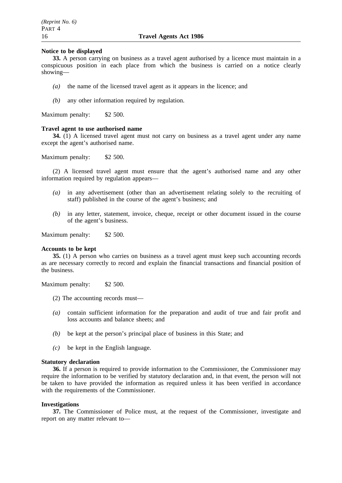### **Notice to be displayed**

**33.** A person carrying on business as a travel agent authorised by a licence must maintain in a conspicuous position in each place from which the business is carried on a notice clearly showing—

- *(a)* the name of the licensed travel agent as it appears in the licence; and
- *(b)* any other information required by regulation.

Maximum penalty: \$2 500.

#### **Travel agent to use authorised name**

**34.** (1) A licensed travel agent must not carry on business as a travel agent under any name except the agent's authorised name.

Maximum penalty: \$2 500.

(2) A licensed travel agent must ensure that the agent's authorised name and any other information required by regulation appears—

- *(a)* in any advertisement (other than an advertisement relating solely to the recruiting of staff) published in the course of the agent's business; and
- *(b)* in any letter, statement, invoice, cheque, receipt or other document issued in the course of the agent's business.

Maximum penalty: \$2 500.

#### **Accounts to be kept**

**35.** (1) A person who carries on business as a travel agent must keep such accounting records as are necessary correctly to record and explain the financial transactions and financial position of the business.

Maximum penalty: \$2 500.

- (2) The accounting records must—
- *(a)* contain sufficient information for the preparation and audit of true and fair profit and loss accounts and balance sheets; and
- *(b)* be kept at the person's principal place of business in this State; and
- *(c)* be kept in the English language.

#### **Statutory declaration**

**36.** If a person is required to provide information to the Commissioner, the Commissioner may require the information to be verified by statutory declaration and, in that event, the person will not be taken to have provided the information as required unless it has been verified in accordance with the requirements of the Commissioner.

## **Investigations**

**37.** The Commissioner of Police must, at the request of the Commissioner, investigate and report on any matter relevant to—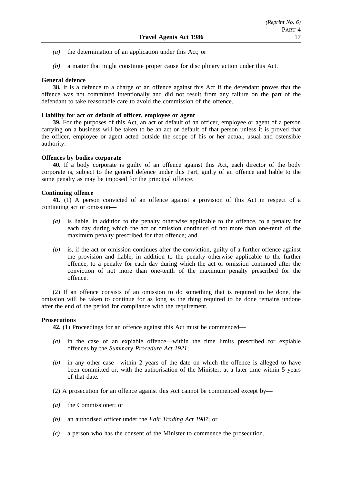- *(a)* the determination of an application under this Act; or
- *(b)* a matter that might constitute proper cause for disciplinary action under this Act.

## **General defence**

**38.** It is a defence to a charge of an offence against this Act if the defendant proves that the offence was not committed intentionally and did not result from any failure on the part of the defendant to take reasonable care to avoid the commission of the offence.

## **Liability for act or default of officer, employee or agent**

**39.** For the purposes of this Act, an act or default of an officer, employee or agent of a person carrying on a business will be taken to be an act or default of that person unless it is proved that the officer, employee or agent acted outside the scope of his or her actual, usual and ostensible authority.

## **Offences by bodies corporate**

**40.** If a body corporate is guilty of an offence against this Act, each director of the body corporate is, subject to the general defence under this Part, guilty of an offence and liable to the same penalty as may be imposed for the principal offence.

## **Continuing offence**

**41.** (1) A person convicted of an offence against a provision of this Act in respect of a continuing act or omission—

- *(a)* is liable, in addition to the penalty otherwise applicable to the offence, to a penalty for each day during which the act or omission continued of not more than one-tenth of the maximum penalty prescribed for that offence; and
- *(b)* is, if the act or omission continues after the conviction, guilty of a further offence against the provision and liable, in addition to the penalty otherwise applicable to the further offence, to a penalty for each day during which the act or omission continued after the conviction of not more than one-tenth of the maximum penalty prescribed for the offence.

(2) If an offence consists of an omission to do something that is required to be done, the omission will be taken to continue for as long as the thing required to be done remains undone after the end of the period for compliance with the requirement.

## **Prosecutions**

**42.** (1) Proceedings for an offence against this Act must be commenced—

- *(a)* in the case of an expiable offence—within the time limits prescribed for expiable offences by the *Summary Procedure Act 1921*;
- *(b)* in any other case—within 2 years of the date on which the offence is alleged to have been committed or, with the authorisation of the Minister, at a later time within 5 years of that date.
- (2) A prosecution for an offence against this Act cannot be commenced except by—
- *(a)* the Commissioner; or
- *(b)* an authorised officer under the *Fair Trading Act 1987*; or
- *(c)* a person who has the consent of the Minister to commence the prosecution.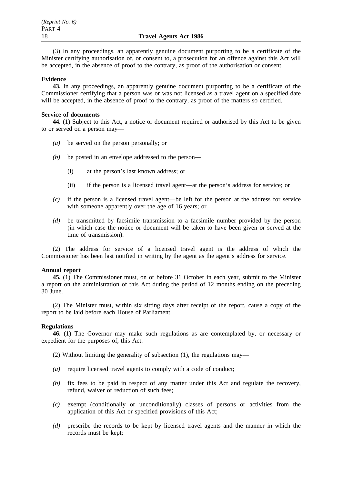(3) In any proceedings, an apparently genuine document purporting to be a certificate of the Minister certifying authorisation of, or consent to, a prosecution for an offence against this Act will be accepted, in the absence of proof to the contrary, as proof of the authorisation or consent.

## **Evidence**

**43.** In any proceedings, an apparently genuine document purporting to be a certificate of the Commissioner certifying that a person was or was not licensed as a travel agent on a specified date will be accepted, in the absence of proof to the contrary, as proof of the matters so certified.

## **Service of documents**

**44.** (1) Subject to this Act, a notice or document required or authorised by this Act to be given to or served on a person may—

- *(a)* be served on the person personally; or
- *(b)* be posted in an envelope addressed to the person—
	- (i) at the person's last known address; or
	- (ii) if the person is a licensed travel agent—at the person's address for service; or
- *(c)* if the person is a licensed travel agent—be left for the person at the address for service with someone apparently over the age of 16 years; or
- *(d)* be transmitted by facsimile transmission to a facsimile number provided by the person (in which case the notice or document will be taken to have been given or served at the time of transmission).

(2) The address for service of a licensed travel agent is the address of which the Commissioner has been last notified in writing by the agent as the agent's address for service.

## **Annual report**

**45.** (1) The Commissioner must, on or before 31 October in each year, submit to the Minister a report on the administration of this Act during the period of 12 months ending on the preceding 30 June.

(2) The Minister must, within six sitting days after receipt of the report, cause a copy of the report to be laid before each House of Parliament.

## **Regulations**

**46.** (1) The Governor may make such regulations as are contemplated by, or necessary or expedient for the purposes of, this Act.

(2) Without limiting the generality of subsection (1), the regulations may—

- *(a)* require licensed travel agents to comply with a code of conduct;
- *(b)* fix fees to be paid in respect of any matter under this Act and regulate the recovery, refund, waiver or reduction of such fees;
- *(c)* exempt (conditionally or unconditionally) classes of persons or activities from the application of this Act or specified provisions of this Act;
- *(d)* prescribe the records to be kept by licensed travel agents and the manner in which the records must be kept;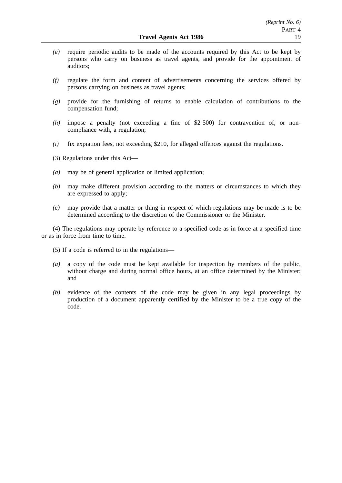- *(e)* require periodic audits to be made of the accounts required by this Act to be kept by persons who carry on business as travel agents, and provide for the appointment of auditors;
- *(f)* regulate the form and content of advertisements concerning the services offered by persons carrying on business as travel agents;
- *(g)* provide for the furnishing of returns to enable calculation of contributions to the compensation fund;
- *(h)* impose a penalty (not exceeding a fine of \$2 500) for contravention of, or noncompliance with, a regulation;
- *(i)* fix expiation fees, not exceeding \$210, for alleged offences against the regulations.
- (3) Regulations under this Act—
- *(a)* may be of general application or limited application;
- *(b)* may make different provision according to the matters or circumstances to which they are expressed to apply;
- *(c)* may provide that a matter or thing in respect of which regulations may be made is to be determined according to the discretion of the Commissioner or the Minister.

(4) The regulations may operate by reference to a specified code as in force at a specified time or as in force from time to time.

- (5) If a code is referred to in the regulations—
- *(a)* a copy of the code must be kept available for inspection by members of the public, without charge and during normal office hours, at an office determined by the Minister; and
- *(b)* evidence of the contents of the code may be given in any legal proceedings by production of a document apparently certified by the Minister to be a true copy of the code.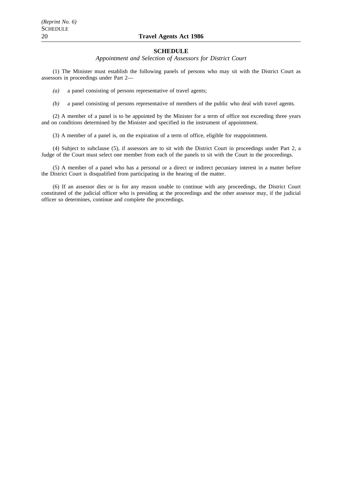## 20 **Travel Agents Act 1986**

#### **SCHEDULE**

*Appointment and Selection of Assessors for District Court*

(1) The Minister must establish the following panels of persons who may sit with the District Court as assessors in proceedings under Part 2—

*(a)* a panel consisting of persons representative of travel agents;

*(b)* a panel consisting of persons representative of members of the public who deal with travel agents.

(2) A member of a panel is to be appointed by the Minister for a term of office not exceeding three years and on conditions determined by the Minister and specified in the instrument of appointment.

(3) A member of a panel is, on the expiration of a term of office, eligible for reappointment.

(4) Subject to subclause (5), if assessors are to sit with the District Court in proceedings under Part 2, a Judge of the Court must select one member from each of the panels to sit with the Court in the proceedings.

(5) A member of a panel who has a personal or a direct or indirect pecuniary interest in a matter before the District Court is disqualified from participating in the hearing of the matter.

(6) If an assessor dies or is for any reason unable to continue with any proceedings, the District Court constituted of the judicial officer who is presiding at the proceedings and the other assessor may, if the judicial officer so determines, continue and complete the proceedings.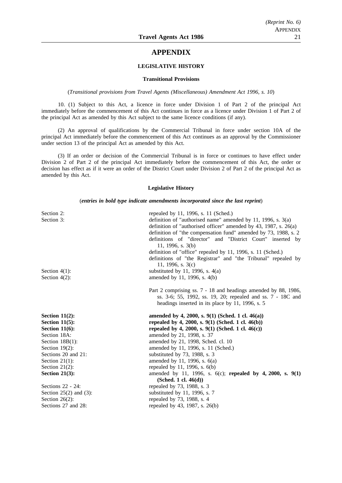## **APPENDIX**

#### **LEGISLATIVE HISTORY**

#### **Transitional Provisions**

(*Transitional provisions from Travel Agents (Miscellaneous) Amendment Act 1996, s. 10*)

10. (1) Subject to this Act, a licence in force under Division 1 of Part 2 of the principal Act immediately before the commencement of this Act continues in force as a licence under Division 1 of Part 2 of the principal Act as amended by this Act subject to the same licence conditions (if any).

(2) An approval of qualifications by the Commercial Tribunal in force under section 10A of the principal Act immediately before the commencement of this Act continues as an approval by the Commissioner under section 13 of the principal Act as amended by this Act.

(3) If an order or decision of the Commercial Tribunal is in force or continues to have effect under Division 2 of Part 2 of the principal Act immediately before the commencement of this Act, the order or decision has effect as if it were an order of the District Court under Division 2 of Part 2 of the principal Act as amended by this Act.

#### **Legislative History**

(*entries in bold type indicate amendments incorporated since the last reprint*)

| Section 2:                  | repealed by 11, 1996, s. 11 (Sched.)                               |
|-----------------------------|--------------------------------------------------------------------|
| Section 3:                  | definition of "authorised name" amended by 11, 1996, s. $3(a)$     |
|                             | definition of "authorised officer" amended by 43, 1987, s. $26(a)$ |
|                             | definition of "the compensation fund" amended by 73, 1988, s. 2    |
|                             | definitions of "director" and "District Court" inserted by         |
|                             | 11, 1996, s. $3(b)$                                                |
|                             | definition of "office" repealed by 11, 1996, s. 11 (Sched.)        |
|                             | definitions of "the Registrar" and "the Tribunal" repealed by      |
|                             | 11, 1996, s. $3(c)$                                                |
| Section $4(1)$ :            | substituted by 11, 1996, s. $4(a)$                                 |
| Section $4(2)$ :            | amended by 11, 1996, s. 4(b)                                       |
|                             |                                                                    |
|                             | Part 2 comprising ss. 7 - 18 and headings amended by 88, 1986,     |
|                             | ss. 3-6; 55, 1992, ss. 19, 20; repealed and ss. 7 - 18C and        |
|                             | headings inserted in its place by 11, 1996, s. 5                   |
| Section $11(2)$ :           | amended by 4, 2000, s. 9(1) (Sched. 1 cl. 46(a))                   |
| Section $11(5)$ :           | repealed by 4, 2000, s. $9(1)$ (Sched. 1 cl. 46(b))                |
| Section $11(6)$ :           | repealed by 4, 2000, s. 9(1) (Sched. 1 cl. 46(c))                  |
| Section 18A:                | amended by 21, 1998, s. 37                                         |
| Section $18B(1)$ :          | amended by 21, 1998, Sched. cl. 10                                 |
| Section $19(2)$ :           | amended by 11, 1996, s. 11 (Sched.)                                |
| Sections 20 and 21:         | substituted by 73, 1988, s. 3                                      |
| Section $21(1)$ :           | amended by 11, 1996, s. $6(a)$                                     |
| Section $21(2)$ :           | repealed by 11, 1996, s. $6(b)$                                    |
| Section $21(3)$ :           | amended by 11, 1996, s. $6(c)$ ; repealed by 4, 2000, s. 9(1)      |
|                             | (Sched. 1 cl. $46(d)$ )                                            |
| Sections $22 - 24$ :        | repealed by 73, 1988, s. 3                                         |
| Section $25(2)$ and $(3)$ : | substituted by 11, 1996, s. $7$                                    |
| Section $26(2)$ :           |                                                                    |
|                             | repealed by 73, 1988, s. 4                                         |
|                             |                                                                    |